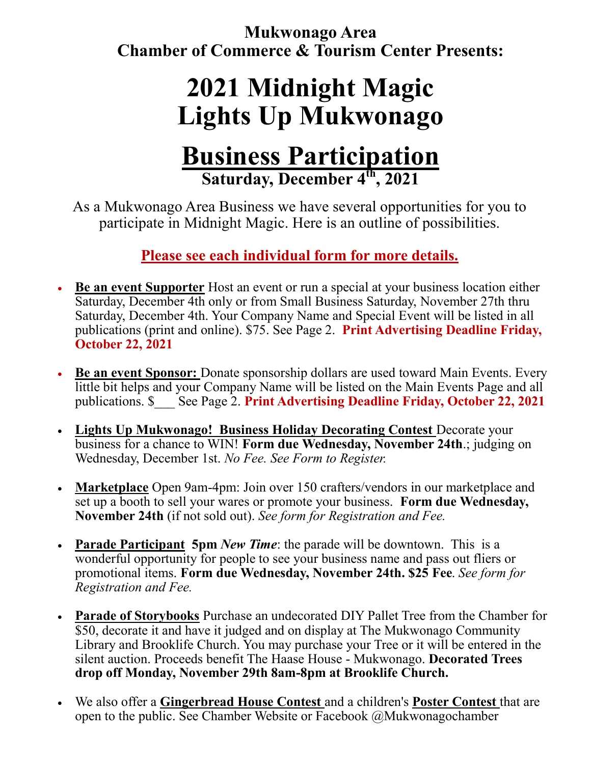**Mukwonago Area Chamber of Commerce & Tourism Center Presents:**

## **2021 Midnight Magic Lights Up Mukwonago**

### **Business Participation Saturday, December 4th, 2021**

As a Mukwonago Area Business we have several opportunities for you to participate in Midnight Magic. Here is an outline of possibilities.

**Please see each individual form for more details.** 

- **Be an event Supporter** Host an event or run a special at your business location either Saturday, December 4th only or from Small Business Saturday, November 27th thru Saturday, December 4th. Your Company Name and Special Event will be listed in all publications (print and online). \$75. See Page 2. **Print Advertising Deadline Friday, October 22, 2021**
- **Be an event Sponsor:** Donate sponsorship dollars are used toward Main Events. Every little bit helps and your Company Name will be listed on the Main Events Page and all publications. \$\_\_\_ See Page 2. **Print Advertising Deadline Friday, October 22, 2021**
- **Lights Up Mukwonago! Business Holiday Decorating Contest** Decorate your business for a chance to WIN! **Form due Wednesday, November 24th**.; judging on Wednesday, December 1st. *No Fee. See Form to Register.*
- **Marketplace** Open 9am-4pm: Join over 150 crafters/vendors in our marketplace and set up a booth to sell your wares or promote your business. **Form due Wednesday, November 24th** (if not sold out). *See form for Registration and Fee.*
- **Parade Participant 5pm** *New Time*: the parade will be downtown. This is a wonderful opportunity for people to see your business name and pass out fliers or promotional items. **Form due Wednesday, November 24th. \$25 Fee**. *See form for Registration and Fee.*
- **Parade of Storybooks** Purchase an undecorated DIY Pallet Tree from the Chamber for \$50, decorate it and have it judged and on display at The Mukwonago Community Library and Brooklife Church. You may purchase your Tree or it will be entered in the silent auction. Proceeds benefit The Haase House - Mukwonago. **Decorated Trees drop off Monday, November 29th 8am-8pm at Brooklife Church.**
- We also offer a **Gingerbread House Contest** and a children's **Poster Contest** that are open to the public. See Chamber Website or Facebook @Mukwonagochamber